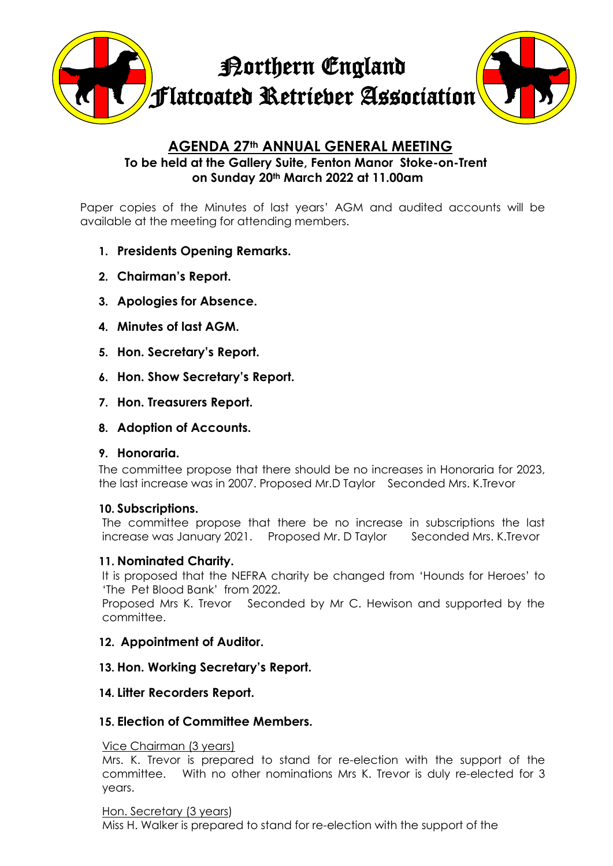

# **AGENDA 27th ANNUAL GENERAL MEETING To be held at the Gallery Suite, Fenton Manor Stoke-on-Trent on Sunday 20th March 2022 at 11.00am**

Paper copies of the Minutes of last years' AGM and audited accounts will be available at the meeting for attending members.

- **1. Presidents Opening Remarks.**
- **2. Chairman's Report.**
- **3. Apologies for Absence.**
- **4. Minutes of last AGM.**
- **5. Hon. Secretary's Report.**
- **6. Hon. Show Secretary's Report.**
- **7. Hon. Treasurers Report.**
- **8. Adoption of Accounts.**

### **9. Honoraria.**

The committee propose that there should be no increases in Honoraria for 2023, the last increase was in 2007. Proposed Mr.D Taylor Seconded Mrs. K.Trevor

### **10. Subscriptions.**

The committee propose that there be no increase in subscriptions the last increase was January 2021. Proposed Mr. D Taylor Seconded Mrs. K. Trevor

### **11. Nominated Charity.**

It is proposed that the NEFRA charity be changed from 'Hounds for Heroes' to 'The Pet Blood Bank' from 2022.

Proposed Mrs K. Trevor Seconded by Mr C. Hewison and supported by the committee.

## **12. Appointment of Auditor.**

### **13. Hon. Working Secretary's Report.**

### **14. Litter Recorders Report.**

### **15. Election of Committee Members.**

#### Vice Chairman (3 years)

Mrs. K. Trevor is prepared to stand for re-election with the support of the committee. With no other nominations Mrs K. Trevor is duly re-elected for 3 years.

### Hon. Secretary (3 years)

Miss H. Walker is prepared to stand for re-election with the support of the